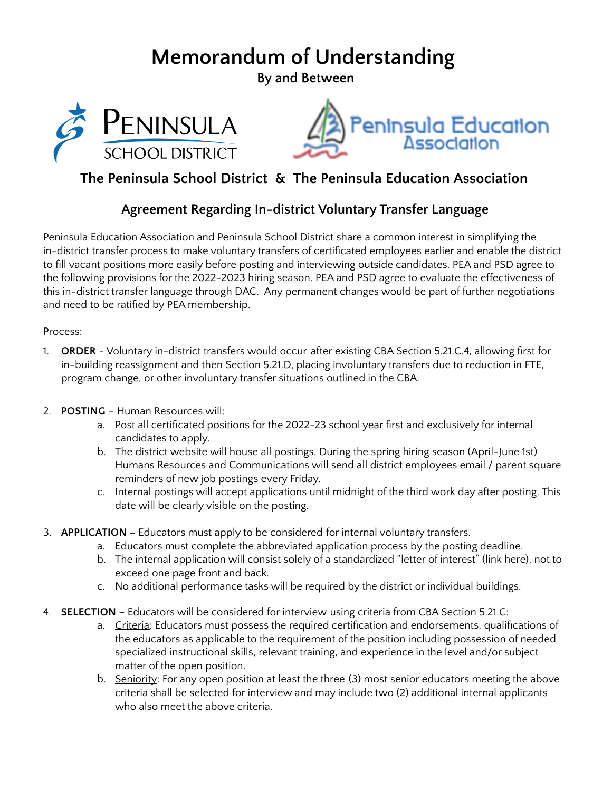## **Memorandum of Understanding**

**By and Between**





## **The Peninsula School District & The Peninsula Education Association**

## **Agreement Regarding In-district Voluntary Transfer Language**

Peninsula Education Association and Peninsula School District share a common interest in simplifying the in-district transfer process to make voluntary transfers of certificated employees earlier and enable the district to fill vacant positions more easily before posting and interviewing outside candidates. PEA and PSD agree to the following provisions for the 2022-2023 hiring season. PEA and PSD agree to evaluate the effectiveness of this in-district transfer language through DAC. Any permanent changes would be part of further negotiations and need to be ratified by PEA membership.

Process:

- 1. **ORDER** Voluntary in-district transfers would occur after existing CBA Section 5.21.C.4, allowing first for in-building reassignment and then Section 5.21.D, placing involuntary transfers due to reduction in FTE, program change, or other involuntary transfer situations outlined in the CBA.
- 2. **POSTING** Human Resources will:
	- a. Post all certificated positions for the 2022-23 school year first and exclusively for internal candidates to apply.
	- b. The district website will house all postings. During the spring hiring season (April-June 1st) Humans Resources and Communications will send all district employees email / parent square reminders of new job postings every Friday.
	- c. Internal postings will accept applications until midnight of the third work day after posting. This date will be clearly visible on the posting.
- 3. **APPLICATION –** Educators must apply to be considered for internal voluntary transfers.
	- a. Educators must complete the abbreviated application process by the posting deadline.
	- b. The internal application will consist solely of a standardized "letter of interest" (link here), not to exceed one page front and back.
	- c. No additional performance tasks will be required by the district or individual buildings.
- 4. **SELECTION –** Educators will be considered for interview using criteria from CBA Section 5.21.C:
	- a. Criteria: Educators must possess the required certification and endorsements, qualifications of the educators as applicable to the requirement of the position including possession of needed specialized instructional skills, relevant training, and experience in the level and/or subject matter of the open position.
	- b. Seniority: For any open position at least the three (3) most senior educators meeting the above criteria shall be selected for interview and may include two (2) additional internal applicants who also meet the above criteria.